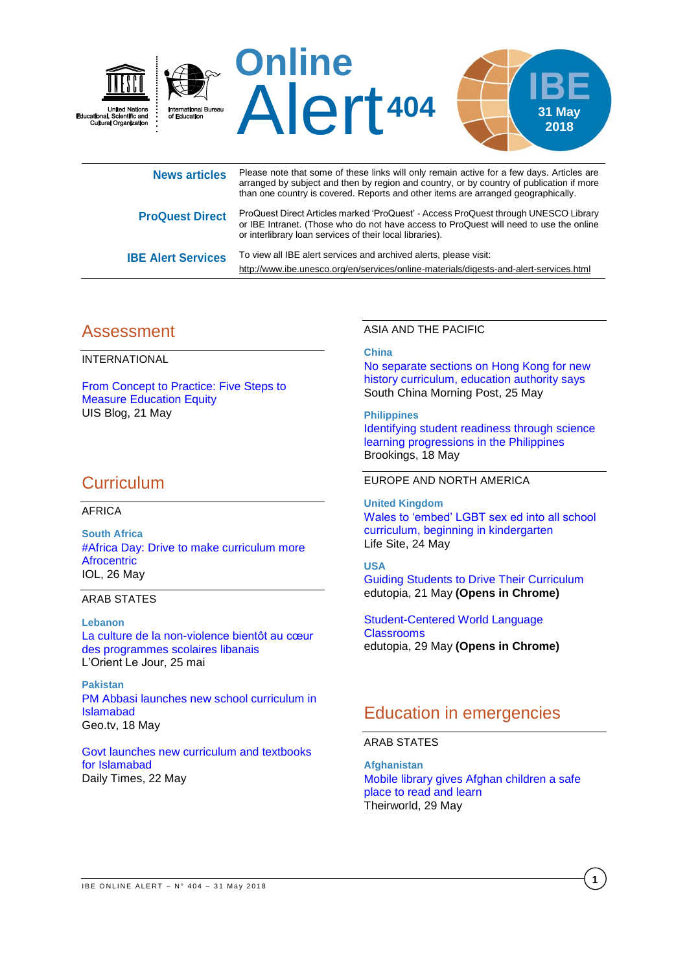

or IBE Intranet. (Those who do not have access to ProQuest will need to use the online or interlibrary loan services of their local libraries).

**IBE Alert Services** To view all IBE alert services and archived alerts, please visit: <http://www.ibe.unesco.org/en/services/online-materials/digests-and-alert-services.html>

## Assessment

INTERNATIONAL

From Concept [to Practice: Five Steps to](https://sdg.uis.unesco.org/2018/05/21/from-concept-to-practice-five-steps-to-measure-education-equity/)  [Measure Education Equity](https://sdg.uis.unesco.org/2018/05/21/from-concept-to-practice-five-steps-to-measure-education-equity/) UIS Blog, 21 May

## **Curriculum**

### AFRICA

**South Africa** [#Africa Day: Drive to make curriculum more](https://www.iol.co.za/news/south-africa/western-cape/africaday-drive-to-make-curriculum-more-afrocentric-15174856)  **[Afrocentric](https://www.iol.co.za/news/south-africa/western-cape/africaday-drive-to-make-curriculum-more-afrocentric-15174856)** IOL, 26 May

## ARAB STATES

**Lebanon** [La culture de la non-violence bientôt au cœur](https://www.lorientlejour.com/article/1117547/la-culture-de-la-non-violence-bientot-au-coeur-des-programmes-scolaires-libanais.html)  [des programmes scolaires libanais](https://www.lorientlejour.com/article/1117547/la-culture-de-la-non-violence-bientot-au-coeur-des-programmes-scolaires-libanais.html) L'Orient Le Jour, 25 mai

**Pakistan** [PM Abbasi launches new school curriculum in](https://www.geo.tv/latest/196284-pm-abbasi-launches-new-school-curriculum-in-islamabad)  [Islamabad](https://www.geo.tv/latest/196284-pm-abbasi-launches-new-school-curriculum-in-islamabad) Geo.tv, 18 May

Govt [launches new curriculum and textbooks](https://dailytimes.com.pk/243161/govt-launches-new-curriculum-and-textbooks-for-islamabad/)  [for Islamabad](https://dailytimes.com.pk/243161/govt-launches-new-curriculum-and-textbooks-for-islamabad/) Daily Times, 22 May

### ASIA AND THE PACIFIC

### **China**

[No separate sections on Hong Kong for new](http://www.scmp.com/news/hong-kong/education/article/2147685/no-separate-sections-hong-kong-new-history-curriculum)  [history curriculum, education authority says](http://www.scmp.com/news/hong-kong/education/article/2147685/no-separate-sections-hong-kong-new-history-curriculum) South China Morning Post, 25 May

**Philippines** [Identifying student readiness through science](https://www.brookings.edu/blog/education-plus-development/2018/05/18/identifying-student-readiness-through-science-learning-progressions-in-the-philippines/)  [learning progressions in the Philippines](https://www.brookings.edu/blog/education-plus-development/2018/05/18/identifying-student-readiness-through-science-learning-progressions-in-the-philippines/) Brookings, 18 May

### EUROPE AND NORTH AMERICA

**United Kingdom** [Wales to 'embed' LGBT sex ed into all school](https://www.lifesitenews.com/news/wales-to-embed-lgbt-sex-ed-into-normal-classes)  [curriculum, beginning in kindergarten](https://www.lifesitenews.com/news/wales-to-embed-lgbt-sex-ed-into-normal-classes) Life Site, 24 May

## **USA**

[Guiding Students to Drive Their Curriculum](https://www.edutopia.org/article/guiding-students-drive-their-curriculum) edutopia, 21 May **(Opens in Chrome)**

[Student-Centered](https://www.edutopia.org/article/student-centered-world-language-classrooms) World Language **[Classrooms](https://www.edutopia.org/article/student-centered-world-language-classrooms)** edutopia, 29 May **(Opens in Chrome)**

# Education in emergencies

### ARAB STATES

**Afghanistan** [Mobile library gives Afghan children a safe](https://theirworld.org/news/mobile-library-gives-afghan-children-kabul-safe-space-to-read-learn)  [place to read and learn](https://theirworld.org/news/mobile-library-gives-afghan-children-kabul-safe-space-to-read-learn) Theirworld, 29 May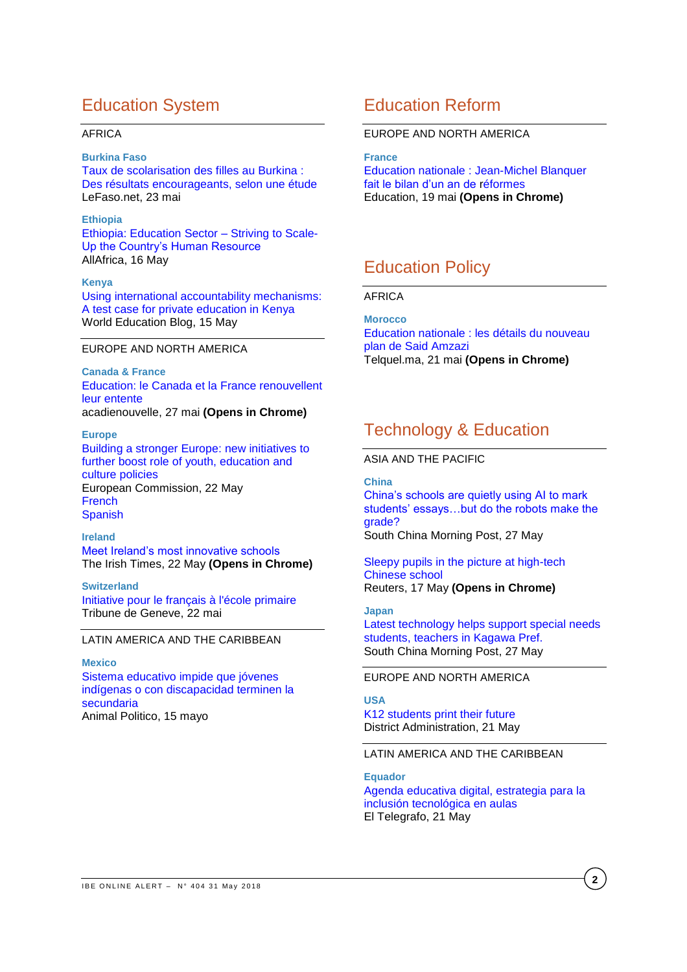# Education System

### AFRICA

#### **Burkina Faso**

[Taux de scolarisation des filles au Burkina](http://lefaso.net/spip.php?article83588) : [Des résultats encourageants, selon une étude](http://lefaso.net/spip.php?article83588) LeFaso.net, 23 mai

#### **Ethiopia**

[Ethiopia: Education Sector –](http://allafrica.com/stories/201805160627.html) Striving to Scale-[Up the Country's Human Resource](http://allafrica.com/stories/201805160627.html) AllAfrica, 16 May

#### **Kenya**

[Using international accountability mechanisms:](https://gemreportunesco.wordpress.com/2018/05/15/using-international-accountability-mechanisms-a-test-case-for-private-education-in-kenya/)  [A test case for private education in Kenya](https://gemreportunesco.wordpress.com/2018/05/15/using-international-accountability-mechanisms-a-test-case-for-private-education-in-kenya/) World Education Blog, 15 May

## EUROPE AND NORTH AMERICA

**Canada & France** [Education: le Canada et la France renouvellent](https://www.acadienouvelle.com/actualites/2018/05/27/education-le-canada-et-la-france-renouvellent-leur-entente/)  leur [entente](https://www.acadienouvelle.com/actualites/2018/05/27/education-le-canada-et-la-france-renouvellent-leur-entente/) acadienouvelle, 27 mai **(Opens in Chrome)**

#### **Europe**

[Building a stronger Europe: new initiatives to](http://europa.eu/rapid/press-release_IP-18-3704_en.htm)  [further boost role of youth, education and](http://europa.eu/rapid/press-release_IP-18-3704_en.htm)  [culture policies](http://europa.eu/rapid/press-release_IP-18-3704_en.htm) European Commission, 22 May **[French](http://europa.eu/rapid/press-release_IP-18-3704_fr.htm) [Spanish](http://europa.eu/rapid/press-release_IP-18-3704_es.htm)** 

**Ireland** [Meet Ireland's most innovative schools](https://www.irishtimes.com/news/education/meet-ireland-s-most-innovative-schools-1.3498779) The Irish Times, 22 May **(Opens in Chrome)**

**Switzerland** [Initiative pour le français à l'école primaire](https://www.tdg.ch/news/standard/Initiative-pour-le-francais-a-l-ecole-primaire/story/31459635) Tribune de Geneve, 22 mai

## LATIN AMERICA AND THE CARIBBEAN

#### **Mexico**

[Sistema educativo impide que jóvenes](https://www.animalpolitico.com/2018/05/conapred-discriminacion-escolar/)  [indígenas o con discapacidad terminen la](https://www.animalpolitico.com/2018/05/conapred-discriminacion-escolar/)  [secundaria](https://www.animalpolitico.com/2018/05/conapred-discriminacion-escolar/) Animal Politico, 15 mayo

## Education Reform

### EUROPE AND NORTH AMERICA

**France**

[Education nationale : Jean-Michel Blanquer](https://www.lemonde.fr/education/article/2018/05/20/education-jean-michel-blanquer-fait-le-bilan-d-un-an-de-reformes_5301851_1473685.html)  [fait le bilan d'un an de](https://www.lemonde.fr/education/article/2018/05/20/education-jean-michel-blanquer-fait-le-bilan-d-un-an-de-reformes_5301851_1473685.html) réformes Education, 19 mai **(Opens in Chrome)**

# Education Policy

## AFRICA

**Morocco**

[Education nationale : les détails du nouveau](http://telquel.ma/2018/05/21/education-nationale-les-details-du-nouveau-plan-de-said-amzazi_1593066)  [plan de Said Amzazi](http://telquel.ma/2018/05/21/education-nationale-les-details-du-nouveau-plan-de-said-amzazi_1593066) Telquel.ma, 21 mai **(Opens in Chrome)**

# Technology & Education

#### ASIA AND THE PACIFIC

**China**

[China's schools are quietly using AI to mark](http://www.scmp.com/news/china/society/article/2147833/chinas-schools-are-quietly-using-ai-mark-students-essays-do)  [students' essays…but do the robots make the](http://www.scmp.com/news/china/society/article/2147833/chinas-schools-are-quietly-using-ai-mark-students-essays-do)  [grade?](http://www.scmp.com/news/china/society/article/2147833/chinas-schools-are-quietly-using-ai-mark-students-essays-do)

South China Morning Post, 27 May

[Sleepy pupils in the picture at high-tech](https://www.reuters.com/article/us-china-surveillance-education/sleepy-pupils-in-the-picture-at-high-tech-chinese-school-idUSKCN1II123)  [Chinese school](https://www.reuters.com/article/us-china-surveillance-education/sleepy-pupils-in-the-picture-at-high-tech-chinese-school-idUSKCN1II123) Reuters, 17 May **(Opens in Chrome)**

#### **Japan**

[Latest technology helps support special needs](https://mainichi.jp/english/articles/20180527/p2a/00m/0na/004000c)  [students, teachers in Kagawa Pref.](https://mainichi.jp/english/articles/20180527/p2a/00m/0na/004000c) South China Morning Post, 27 May

### EUROPE AND NORTH AMERICA

**USA** [K12 students print their future](https://www.districtadministration.com/article/k12-students-print-their-future) District Administration, 21 May

## LATIN AMERICA AND THE CARIBBEAN

**Equador** [Agenda educativa digital, estrategia para la](https://www.eltelegrafo.com.ec/noticias/sociedad/6/agenda-educativa-digital-ecuador)  [inclusión tecnológica en aulas](https://www.eltelegrafo.com.ec/noticias/sociedad/6/agenda-educativa-digital-ecuador) El Telegrafo, 21 May

**2**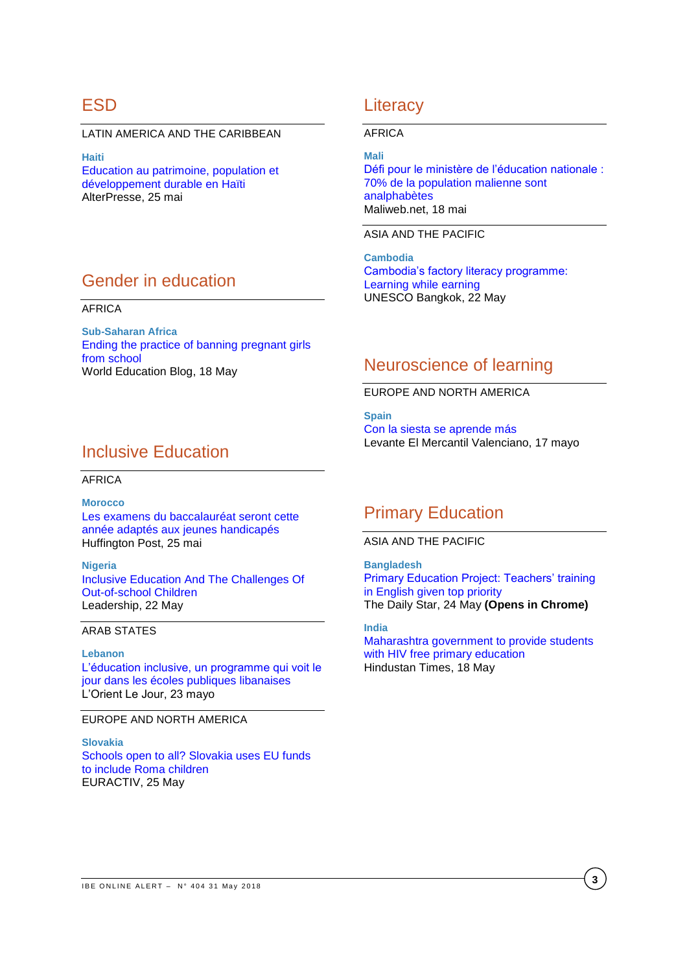## ESD

LATIN AMERICA AND THE CARIBBEAN

**Haiti** [Education au patrimoine, population et](http://www.alterpresse.org/spip.php?article23124#.Ww5r8EiFOHs)  [développement durable en Haïti](http://www.alterpresse.org/spip.php?article23124#.Ww5r8EiFOHs) AlterPresse, 25 mai

# Gender in education

### AFRICA

**Sub-Saharan Africa** [Ending the practice of banning pregnant girls](https://gemreportunesco.wordpress.com/2018/05/18/ending-the-practice-of-banning-pregnant-girls-from-schools/)  [from school](https://gemreportunesco.wordpress.com/2018/05/18/ending-the-practice-of-banning-pregnant-girls-from-schools/) World Education Blog, 18 May

# Inclusive Education

#### AFRICA

**Morocco** [Les examens du baccalauréat seront cette](https://www.huffpostmaghreb.com/entry/les-examens-du-baccalaureat-seront-cette-annee-adaptes-aux-jeunes-handicapes_mg_5b0815f5e4b0802d69caa1ab)  [année adaptés aux jeunes handicapés](https://www.huffpostmaghreb.com/entry/les-examens-du-baccalaureat-seront-cette-annee-adaptes-aux-jeunes-handicapes_mg_5b0815f5e4b0802d69caa1ab) Huffington Post, 25 mai

**Nigeria** [Inclusive Education And The Challenges Of](https://leadership.ng/2018/05/22/inclusive-education-and-the-challenges-of-out-of-school-children/)  [Out-of-school Children](https://leadership.ng/2018/05/22/inclusive-education-and-the-challenges-of-out-of-school-children/) Leadership, 22 May

## ARAB STATES

**Lebanon** [L'éducation inclusive, un programme qui voit le](https://www.lorientlejour.com/article/1117109/leducation-inclusive-un-programme-qui-voit-le-jour-dans-les-ecoles-publiques.html)  [jour dans les écoles publiques libanaises](https://www.lorientlejour.com/article/1117109/leducation-inclusive-un-programme-qui-voit-le-jour-dans-les-ecoles-publiques.html) L'Orient Le Jour, 23 mayo

### EUROPE AND NORTH AMERICA

**Slovakia** [Schools open to all? Slovakia uses EU funds](https://www.euractiv.com/section/economy-jobs/news/schools-open-to-all-slovakia-uses-eu-funds-to-achieve-inclusive-education/)  [to include Roma children](https://www.euractiv.com/section/economy-jobs/news/schools-open-to-all-slovakia-uses-eu-funds-to-achieve-inclusive-education/) EURACTIV, 25 May

## **Literacy**

#### AFRICA

**Mali** [Défi pour le ministère de l'éducation nationale :](https://www.maliweb.net/education/defi-pour-le-ministere-de-leducation-nationale-70-de-la-population-malienne-sont-analphabetes-2757494.html)  [70% de la population malienne sont](https://www.maliweb.net/education/defi-pour-le-ministere-de-leducation-nationale-70-de-la-population-malienne-sont-analphabetes-2757494.html)  [analphabètes](https://www.maliweb.net/education/defi-pour-le-ministere-de-leducation-nationale-70-de-la-population-malienne-sont-analphabetes-2757494.html) Maliweb.net, 18 mai

ASIA AND THE PACIFIC

**Cambodia** [Cambodia's factory literacy programme:](https://bangkok.unesco.org/content/cambodia%E2%80%99s-factory-literacy-programme-learning-while-earning)  [Learning while earning](https://bangkok.unesco.org/content/cambodia%E2%80%99s-factory-literacy-programme-learning-while-earning) UNESCO Bangkok, 22 May

## Neuroscience of learning

EUROPE AND NORTH AMERICA

**Spain** [Con la siesta se aprende más](http://www.levante-emv.com/comunitat-valenciana/2018/05/17/siesta-aprende/1719334.html) Levante El Mercantil Valenciano, 17 mayo

## Primary Education

ASIA AND THE PACIFIC

**Bangladesh** [Primary Education Project: Teachers' training](https://www.thedailystar.net/frontpage/primary-education-project-teachers-training-english-given-top-priority-1580767)  [in English given top priority](https://www.thedailystar.net/frontpage/primary-education-project-teachers-training-english-given-top-priority-1580767) The Daily Star, 24 May **(Opens in Chrome)**

**India** [Maharashtra government to provide students](https://www.hindustantimes.com/mumbai-news/maharashtra-government-to-provide-students-with-hiv-free-primary-education/story-UAHfmmCREwHw3d3Aa5xKZM.html)  [with HIV free primary education](https://www.hindustantimes.com/mumbai-news/maharashtra-government-to-provide-students-with-hiv-free-primary-education/story-UAHfmmCREwHw3d3Aa5xKZM.html) Hindustan Times, 18 May

**3**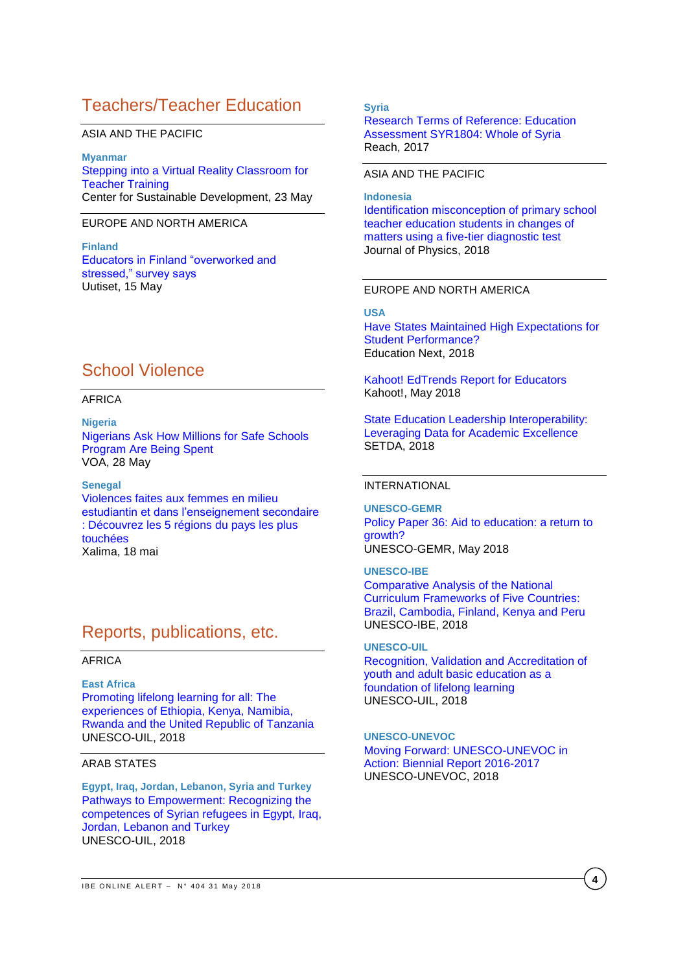# Teachers/Teacher Education

### ASIA AND THE PACIFIC

**Myanmar** [Stepping into a Virtual Reality Classroom for](http://csd.columbia.edu/2018/05/23/stepping-into-a-virtual-reality-classroom-for-teacher-training/)  [Teacher Training](http://csd.columbia.edu/2018/05/23/stepping-into-a-virtual-reality-classroom-for-teacher-training/) Center for Sustainable Development, 23 May

### EUROPE AND NORTH AMERICA

**Finland** [Educators in Finland "overworked and](https://yle.fi/uutiset/osasto/news/educators_in_finland_overworked_and_stressed_survey_says/10205525)  [stressed," survey says](https://yle.fi/uutiset/osasto/news/educators_in_finland_overworked_and_stressed_survey_says/10205525) Uutiset, 15 May

# School Violence

### AFRICA

**Nigeria** [Nigerians Ask How Millions for Safe Schools](https://www.voanews.com/a/nigeria-schools-being-rebuilt/4412714.html)  [Program Are Being Spent](https://www.voanews.com/a/nigeria-schools-being-rebuilt/4412714.html) VOA, 28 May

**Senegal** [Violences faites aux femmes en milieu](http://xalimasn.com/violences-faites-aux-femmes-en-milieu-estudiantin-et-dans-lenseignement-secondaire-decouvrez-les-5-regions-du-pays-les-plus-touchees/)  [estudiantin et dans l'enseignement secondaire](http://xalimasn.com/violences-faites-aux-femmes-en-milieu-estudiantin-et-dans-lenseignement-secondaire-decouvrez-les-5-regions-du-pays-les-plus-touchees/)  [: Découvrez les 5 régions du pays les plus](http://xalimasn.com/violences-faites-aux-femmes-en-milieu-estudiantin-et-dans-lenseignement-secondaire-decouvrez-les-5-regions-du-pays-les-plus-touchees/)  [touchées](http://xalimasn.com/violences-faites-aux-femmes-en-milieu-estudiantin-et-dans-lenseignement-secondaire-decouvrez-les-5-regions-du-pays-les-plus-touchees/) Xalima, 18 mai

## Reports, publications, etc.

#### AFRICA

**East Africa** [Promoting lifelong learning for all: The](http://unesdoc.unesco.org/images/0026/002629/262940e.pdf)  [experiences of Ethiopia, Kenya, Namibia,](http://unesdoc.unesco.org/images/0026/002629/262940e.pdf)  [Rwanda and the United Republic of Tanzania](http://unesdoc.unesco.org/images/0026/002629/262940e.pdf) UNESCO-UIL, 2018

### ARAB STATES

**Egypt, Iraq, Jordan, Lebanon, Syria and Turkey** [Pathways to Empowerment: Recognizing the](http://unesdoc.unesco.org/images/0026/002629/262918e.pdf)  [competences of Syrian refugees in Egypt, Iraq,](http://unesdoc.unesco.org/images/0026/002629/262918e.pdf)  [Jordan, Lebanon and Turkey](http://unesdoc.unesco.org/images/0026/002629/262918e.pdf) UNESCO-UIL, 2018

#### **Syria**

[Research Terms of Reference: Education](https://reliefweb.int/sites/reliefweb.int/files/resources/syr_tor_wos_education_assessment.pdf)  [Assessment SYR1804: Whole of Syria](https://reliefweb.int/sites/reliefweb.int/files/resources/syr_tor_wos_education_assessment.pdf) Reach, 2017

#### ASIA AND THE PACIFIC

**Indonesia** [Identification misconception of primary school](http://iopscience.iop.org/article/10.1088/1742-6596/1013/1/012086/pdf)  [teacher education students in changes of](http://iopscience.iop.org/article/10.1088/1742-6596/1013/1/012086/pdf)  [matters using a five-tier diagnostic test](http://iopscience.iop.org/article/10.1088/1742-6596/1013/1/012086/pdf) Journal of Physics, 2018

#### EUROPE AND NORTH AMERICA

#### **USA**

[Have States Maintained High Expectations for](http://educationnext.org/have-states-maintained-high-expectations-student-performance-analysis-2017-proficiency-standards/)  [Student Performance?](http://educationnext.org/have-states-maintained-high-expectations-student-performance-analysis-2017-proficiency-standards/) Education Next, 2018

[Kahoot! EdTrends Report for Educators](https://kahoot.com/files/2018/05/EdTrends-report-May-2018-educators.pdf) Kahoot!, May 2018

[State Education Leadership Interoperability:](http://www.setda.org/master/wp-content/uploads/2018/05/State-Leadership-Interoperability.pdf)  [Leveraging Data for Academic Excellence](http://www.setda.org/master/wp-content/uploads/2018/05/State-Leadership-Interoperability.pdf) SETDA, 2018

### INTERNATIONAL

**UNESCO-GEMR** [Policy Paper 36: Aid to education: a return to](http://unesdoc.unesco.org/images/0026/002636/263616e.pdf)  [growth?](http://unesdoc.unesco.org/images/0026/002636/263616e.pdf) UNESCO-GEMR, May 2018

#### **UNESCO-IBE**

[Comparative Analysis of the National](http://unesdoc.unesco.org/images/0026/002638/263831E.pdf)  [Curriculum Frameworks of Five Countries:](http://unesdoc.unesco.org/images/0026/002638/263831E.pdf)  [Brazil, Cambodia, Finland, Kenya and Peru](http://unesdoc.unesco.org/images/0026/002638/263831E.pdf) UNESCO-IBE, 2018

#### **UNESCO-UIL**

[Recognition, Validation and Accreditation of](http://unesdoc.unesco.org/images/0026/002636/263619e.pdf)  [youth and adult basic education as a](http://unesdoc.unesco.org/images/0026/002636/263619e.pdf)  [foundation of lifelong learning](http://unesdoc.unesco.org/images/0026/002636/263619e.pdf) UNESCO-UIL, 2018

#### **UNESCO-UNEVOC**

[Moving Forward: UNESCO-UNEVOC in](https://unevoc.unesco.org/up/UNESCO-UNEVOC%20Biennial%20Report%202016-2017.pdf)  [Action: Biennial Report 2016-2017](https://unevoc.unesco.org/up/UNESCO-UNEVOC%20Biennial%20Report%202016-2017.pdf) UNESCO-UNEVOC, 2018

**4**